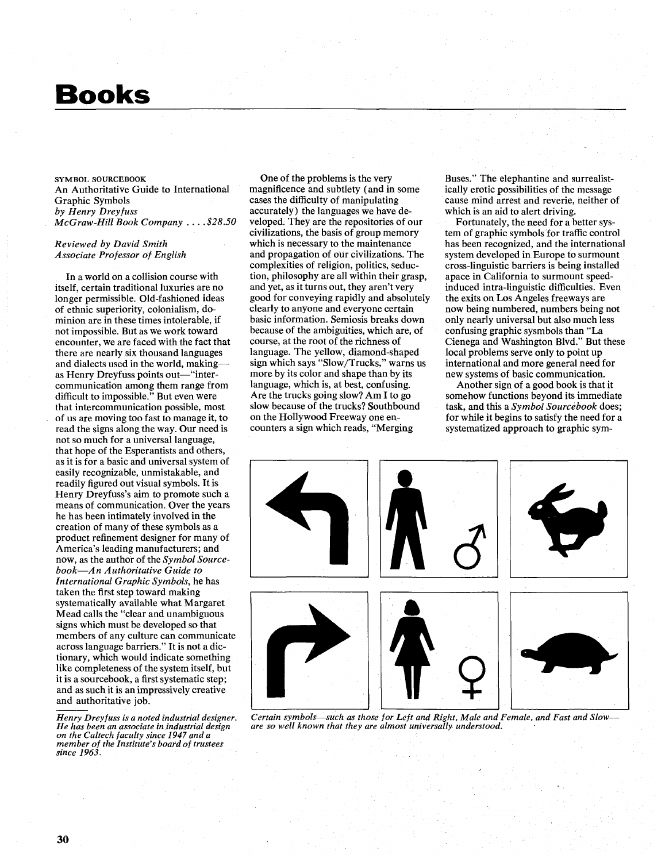## **Books**

## SYMBOL SOURCEBOOK An Authoritative Guide to International Graphic Symbols *by Henry Dreyfuss McGraw-Hill Book Company* . . . . **\$28.50**

## *Reviewed by David Smith Associate Professor of English*

In a world on a collision course with itself, certain traditional luxuries are no longer permissible. Old-fashioned ideas of ethnic superiority, colonialism, dominion are in these times intolerable, if not impossible. But as we work toward encounter, we are faced with the fact that there are nearly six thousand languages and dialects used in the world, makingas Henry Dreyfuss points out—"intercommunication among them range from difficult to impossible." But even were that intercommunication possible, most of us are moving too fast to manage it, to read the signs along the way. Our need is not so much for a universal language, that hope of the Esperantists and others, as it is for a basic and universal system of easily recognizable, unmistakable, and readily figured out visual symbols. It is Henry Dreyfuss's aim to promote such a means of communication. Over the years he has been intimately involved in the creation of many of these symbols as a product refinement designer for many of America's leading manufacturers; and now, as the author of the *Symbol Sourcebook-An Authoritative Guide to International Graphic Symbols,* he has taken the first step toward making systematically available what Margaret Mead calls the "clear and unambiguous signs which must be developed so that members of any culture can communicate across language barriers." It is not a dictionary, which would indicate something like completeness of the system itself, but it is a sourcebook, a first systematic step; and as such it is an impressively creative and authoritative job.

*Henry Dreyfuss is a noted industrial designer. He has been an associate in industrial design on the Caltech faculty since 1947 and a member of the Institute's board of trustees since 1963.* 

One of the problems is the very magnificence and subtlety (and in some cases the difficulty of manipulating accurately) the languages we have developed. They are the repositories of our civilizations, the basis of group memory which is necessary to the maintenance and propagation of our civilizations. The complexities of religion, politics, seduction, philosophy are all within their grasp, and yet, as it turns out, they aren't very good for conveying rapidly and absolutely clearly to anyone and everyone certain basic information. Semiosis breaks down because of the ambiguities, which are, of course, at the root of the richness of language. The yellow, diamond-shaped sign which says "Slow/Trucks," warns us more by its color and shape than by its language, which is, at best, confusing. Are the trucks going slow? **Am** I to go slow because of the trucks? Southbound on the Hollywood Freeway one encounters a sign which reads, "Merging

Buses." The elephantine and surrealistically erotic possibilities of the message cause mind arrest and reverie, neither of which is an aid to alert driving.

Fortunately, the need for a better system of graphic symbols for traffic control has been recognized, and the international system developed in Europe to surmount cross-linguistic barriers is being installed apace in California to surmount speedinduced intra-linguistic difficulties. Even the exits on Los Angeles freeways are now being numbered, numbers being not only nearly universal but also much less confusing graphic sysmbols than "La Cienega and Washington Blvd." But these local problems serve only to point up international and more general need for new systems of basic communication.

Another sign of a good book is that it somehow functions beyond its immediate task, and this a *Symbol Sourcebook* does; for while it begins to satisfy the need for a systematized approach to graphic sym-



*Certain symbols-such as those for Left and Right, Male and Female, and Fast and Slow- are so well known that they are almost universally understood.*